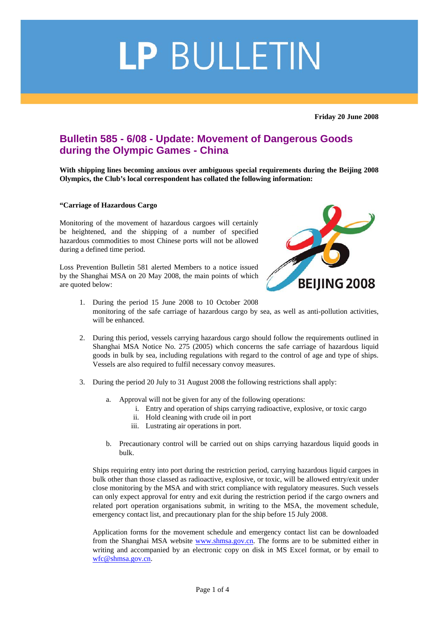# LP BULLETIN

**Friday 20 June 2008** 

# **Bulletin 585 - 6/08 - Update: Movement of Dangerous Goods during the Olympic Games - China**

**With shipping lines becoming anxious over ambiguous special requirements during the Beijing 2008 Olympics, the Club's local correspondent has collated the following information:** 

#### **"Carriage of Hazardous Cargo**

Monitoring of the movement of hazardous cargoes will certainly be heightened, and the shipping of a number of specified hazardous commodities to most Chinese ports will not be allowed during a defined time period.

Loss Prevention Bulletin 581 alerted Members to a notice issued by the Shanghai MSA on 20 May 2008, the main points of which are quoted below:



- 1. During the period 15 June 2008 to 10 October 2008 monitoring of the safe carriage of hazardous cargo by sea, as well as anti-pollution activities, will be enhanced.
- 2. During this period, vessels carrying hazardous cargo should follow the requirements outlined in Shanghai MSA Notice No. 275 (2005) which concerns the safe carriage of hazardous liquid goods in bulk by sea, including regulations with regard to the control of age and type of ships. Vessels are also required to fulfil necessary convoy measures.
- 3. During the period 20 July to 31 August 2008 the following restrictions shall apply:
	- a. Approval will not be given for any of the following operations:
		- i. Entry and operation of ships carrying radioactive, explosive, or toxic cargo
		- ii. Hold cleaning with crude oil in port
		- iii. Lustrating air operations in port.
	- b. Precautionary control will be carried out on ships carrying hazardous liquid goods in bulk.

Ships requiring entry into port during the restriction period, carrying hazardous liquid cargoes in bulk other than those classed as radioactive, explosive, or toxic, will be allowed entry/exit under close monitoring by the MSA and with strict compliance with regulatory measures. Such vessels can only expect approval for entry and exit during the restriction period if the cargo owners and related port operation organisations submit, in writing to the MSA, the movement schedule, emergency contact list, and precautionary plan for the ship before 15 July 2008.

Application forms for the movement schedule and emergency contact list can be downloaded from the Shanghai MSA website [www.shmsa.gov.cn](http://www.shmsa.gov.cn/). The forms are to be submitted either in writing and accompanied by an electronic copy on disk in MS Excel format, or by email to [wfc@shmsa.gov.cn.](mailto:wfc@shmsa.gov.cn)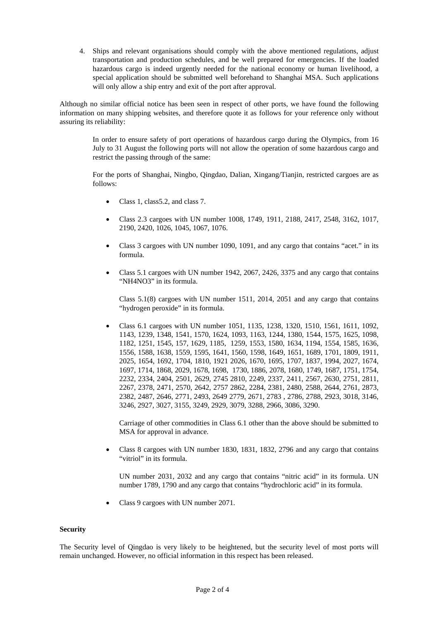4. Ships and relevant organisations should comply with the above mentioned regulations, adjust transportation and production schedules, and be well prepared for emergencies. If the loaded hazardous cargo is indeed urgently needed for the national economy or human livelihood, a special application should be submitted well beforehand to Shanghai MSA. Such applications will only allow a ship entry and exit of the port after approval.

Although no similar official notice has been seen in respect of other ports, we have found the following information on many shipping websites, and therefore quote it as follows for your reference only without assuring its reliability:

> In order to ensure safety of port operations of hazardous cargo during the Olympics, from 16 July to 31 August the following ports will not allow the operation of some hazardous cargo and restrict the passing through of the same:

> For the ports of Shanghai, Ningbo, Qingdao, Dalian, Xingang/Tianjin, restricted cargoes are as follows:

- Class 1, class5.2, and class 7.
- Class 2.3 cargoes with UN number 1008, 1749, 1911, 2188, 2417, 2548, 3162, 1017, 2190, 2420, 1026, 1045, 1067, 1076.
- Class 3 cargoes with UN number 1090, 1091, and any cargo that contains "acet." in its formula.
- Class 5.1 cargoes with UN number 1942, 2067, 2426, 3375 and any cargo that contains "NH4NO3" in its formula.

Class 5.1(8) cargoes with UN number 1511, 2014, 2051 and any cargo that contains "hydrogen peroxide" in its formula.

• Class 6.1 cargoes with UN number 1051, 1135, 1238, 1320, 1510, 1561, 1611, 1092, 1143, 1239, 1348, 1541, 1570, 1624, 1093, 1163, 1244, 1380, 1544, 1575, 1625, 1098, 1182, 1251, 1545, 157, 1629, 1185, 1259, 1553, 1580, 1634, 1194, 1554, 1585, 1636, 1556, 1588, 1638, 1559, 1595, 1641, 1560, 1598, 1649, 1651, 1689, 1701, 1809, 1911, 2025, 1654, 1692, 1704, 1810, 1921 2026, 1670, 1695, 1707, 1837, 1994, 2027, 1674, 1697, 1714, 1868, 2029, 1678, 1698, 1730, 1886, 2078, 1680, 1749, 1687, 1751, 1754, 2232, 2334, 2404, 2501, 2629, 2745 2810, 2249, 2337, 2411, 2567, 2630, 2751, 2811, 2267, 2378, 2471, 2570, 2642, 2757 2862, 2284, 2381, 2480, 2588, 2644, 2761, 2873, 2382, 2487, 2646, 2771, 2493, 2649 2779, 2671, 2783 , 2786, 2788, 2923, 3018, 3146, 3246, 2927, 3027, 3155, 3249, 2929, 3079, 3288, 2966, 3086, 3290.

Carriage of other commodities in Class 6.1 other than the above should be submitted to MSA for approval in advance.

• Class 8 cargoes with UN number 1830, 1831, 1832, 2796 and any cargo that contains "vitriol" in its formula.

UN number 2031, 2032 and any cargo that contains "nitric acid" in its formula. UN number 1789, 1790 and any cargo that contains "hydrochloric acid" in its formula.

• Class 9 cargoes with UN number 2071.

## **Security**

The Security level of Qingdao is very likely to be heightened, but the security level of most ports will remain unchanged. However, no official information in this respect has been released.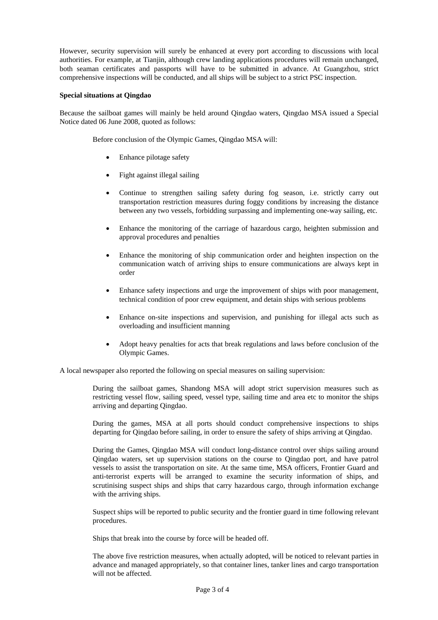However, security supervision will surely be enhanced at every port according to discussions with local authorities. For example, at Tianjin, although crew landing applications procedures will remain unchanged, both seaman certificates and passports will have to be submitted in advance. At Guangzhou, strict comprehensive inspections will be conducted, and all ships will be subject to a strict PSC inspection.

### **Special situations at Qingdao**

Because the sailboat games will mainly be held around Qingdao waters, Qingdao MSA issued a Special Notice dated 06 June 2008, quoted as follows:

Before conclusion of the Olympic Games, Qingdao MSA will:

- Enhance pilotage safety
- Fight against illegal sailing
- Continue to strengthen sailing safety during fog season, i.e. strictly carry out transportation restriction measures during foggy conditions by increasing the distance between any two vessels, forbidding surpassing and implementing one-way sailing, etc.
- Enhance the monitoring of the carriage of hazardous cargo, heighten submission and approval procedures and penalties
- Enhance the monitoring of ship communication order and heighten inspection on the communication watch of arriving ships to ensure communications are always kept in order
- Enhance safety inspections and urge the improvement of ships with poor management, technical condition of poor crew equipment, and detain ships with serious problems
- Enhance on-site inspections and supervision, and punishing for illegal acts such as overloading and insufficient manning
- Adopt heavy penalties for acts that break regulations and laws before conclusion of the Olympic Games.

A local newspaper also reported the following on special measures on sailing supervision:

During the sailboat games, Shandong MSA will adopt strict supervision measures such as restricting vessel flow, sailing speed, vessel type, sailing time and area etc to monitor the ships arriving and departing Qingdao.

During the games, MSA at all ports should conduct comprehensive inspections to ships departing for Qingdao before sailing, in order to ensure the safety of ships arriving at Qingdao.

During the Games, Qingdao MSA will conduct long-distance control over ships sailing around Qingdao waters, set up supervision stations on the course to Qingdao port, and have patrol vessels to assist the transportation on site. At the same time, MSA officers, Frontier Guard and anti-terrorist experts will be arranged to examine the security information of ships, and scrutinising suspect ships and ships that carry hazardous cargo, through information exchange with the arriving ships.

Suspect ships will be reported to public security and the frontier guard in time following relevant procedures.

Ships that break into the course by force will be headed off.

The above five restriction measures, when actually adopted, will be noticed to relevant parties in advance and managed appropriately, so that container lines, tanker lines and cargo transportation will not be affected.